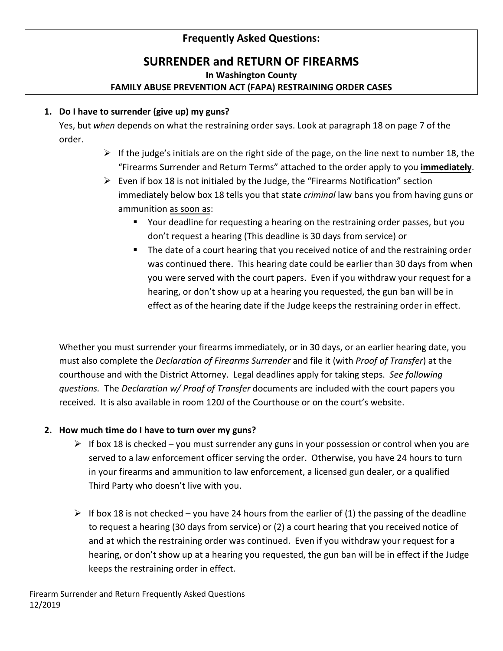# **Frequently Asked Questions:**

# **SURRENDER and RETURN OF FIREARMS**

**In Washington County**

# **FAMILY ABUSE PREVENTION ACT (FAPA) RESTRAINING ORDER CASES**

#### **1. Do I have to surrender (give up) my guns?**

Yes, but *when* depends on what the restraining order says. Look at paragraph 18 on page 7 of the order.

- $\triangleright$  If the judge's initials are on the right side of the page, on the line next to number 18, the "Firearms Surrender and Return Terms" attached to the order apply to you **immediately**.
- $\triangleright$  Even if box 18 is not initialed by the Judge, the "Firearms Notification" section immediately below box 18 tells you that state *criminal* law bans you from having guns or ammunition as soon as:
	- Your deadline for requesting a hearing on the restraining order passes, but you don't request a hearing (This deadline is 30 days from service) or
	- The date of a court hearing that you received notice of and the restraining order was continued there. This hearing date could be earlier than 30 days from when you were served with the court papers. Even if you withdraw your request for a hearing, or don't show up at a hearing you requested, the gun ban will be in effect as of the hearing date if the Judge keeps the restraining order in effect.

Whether you must surrender your firearms immediately, or in 30 days, or an earlier hearing date, you must also complete the *Declaration of Firearms Surrender* and file it (with *Proof of Transfer*) at the courthouse and with the District Attorney. Legal deadlines apply for taking steps. *See following questions.* The *Declaration w/ Proof of Transfer* documents are included with the court papers you received. It is also available in room 120J of the Courthouse or on the court's website.

#### **2. How much time do I have to turn over my guns?**

- $\triangleright$  If box 18 is checked you must surrender any guns in your possession or control when you are served to a law enforcement officer serving the order. Otherwise, you have 24 hours to turn in your firearms and ammunition to law enforcement, a licensed gun dealer, or a qualified Third Party who doesn't live with you.
- $\triangleright$  If box 18 is not checked you have 24 hours from the earlier of (1) the passing of the deadline to request a hearing (30 days from service) or (2) a court hearing that you received notice of and at which the restraining order was continued. Even if you withdraw your request for a hearing, or don't show up at a hearing you requested, the gun ban will be in effect if the Judge keeps the restraining order in effect.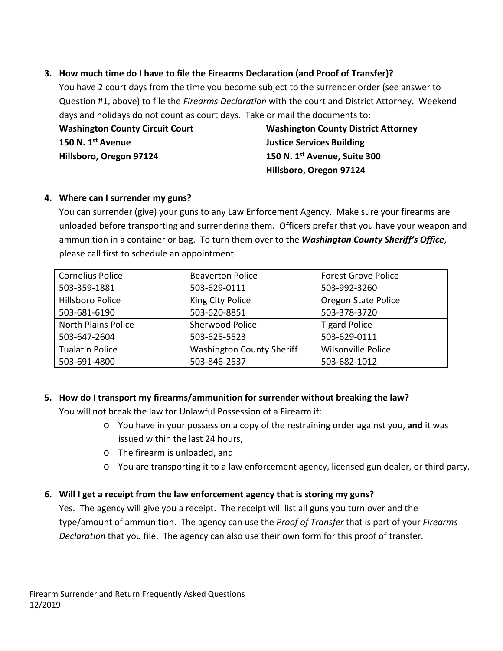## **3. How much time do I have to file the Firearms Declaration (and Proof of Transfer)?**

You have 2 court days from the time you become subject to the surrender order (see answer to Question #1, above) to file the *Firearms Declaration* with the court and District Attorney. Weekend days and holidays do not count as court days. Take or mail the documents to:

**150 N. 1st Avenue Justice Services Building Hillsboro, Oregon 97124 150 N. 1st Avenue, Suite 300**

**Washington County Circuit Court Washington County District Attorney Hillsboro, Oregon 97124**

#### **4. Where can I surrender my guns?**

You can surrender (give) your guns to any Law Enforcement Agency. Make sure your firearms are unloaded before transporting and surrendering them. Officers prefer that you have your weapon and ammunition in a container or bag. To turn them over to the *Washington County Sheriff's Office*, please call first to schedule an appointment.

| <b>Cornelius Police</b>    | <b>Beaverton Police</b>          | <b>Forest Grove Police</b> |
|----------------------------|----------------------------------|----------------------------|
|                            |                                  |                            |
| 503-359-1881               | 503-629-0111                     | 503-992-3260               |
| <b>Hillsboro Police</b>    | King City Police                 | Oregon State Police        |
| 503-681-6190               | 503-620-8851                     | 503-378-3720               |
| <b>North Plains Police</b> | <b>Sherwood Police</b>           | <b>Tigard Police</b>       |
| 503-647-2604               | 503-625-5523                     | 503-629-0111               |
| <b>Tualatin Police</b>     | <b>Washington County Sheriff</b> | <b>Wilsonville Police</b>  |
| 503-691-4800               | 503-846-2537                     | 503-682-1012               |

# **5. How do I transport my firearms/ammunition for surrender without breaking the law?**

You will not break the law for Unlawful Possession of a Firearm if:

- o You have in your possession a copy of the restraining order against you, **and** it was issued within the last 24 hours,
- o The firearm is unloaded, and
- o You are transporting it to a law enforcement agency, licensed gun dealer, or third party.

# **6. Will I get a receipt from the law enforcement agency that is storing my guns?**

Yes. The agency will give you a receipt. The receipt will list all guns you turn over and the type/amount of ammunition. The agency can use the *Proof of Transfer* that is part of your *Firearms Declaration* that you file. The agency can also use their own form for this proof of transfer.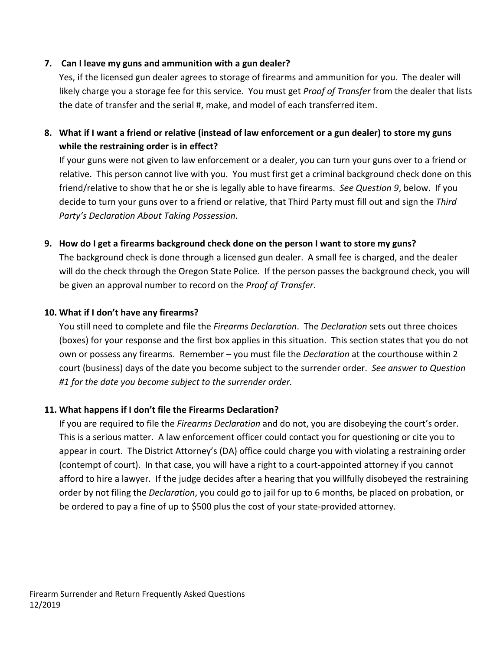#### **7. Can I leave my guns and ammunition with a gun dealer?**

Yes, if the licensed gun dealer agrees to storage of firearms and ammunition for you. The dealer will likely charge you a storage fee for this service. You must get *Proof of Transfer* from the dealer that lists the date of transfer and the serial #, make, and model of each transferred item.

# **8. What if I want a friend or relative (instead of law enforcement or a gun dealer) to store my guns while the restraining order is in effect?**

If your guns were not given to law enforcement or a dealer, you can turn your guns over to a friend or relative. This person cannot live with you. You must first get a criminal background check done on this friend/relative to show that he or she is legally able to have firearms. *See Question 9*, below. If you decide to turn your guns over to a friend or relative, that Third Party must fill out and sign the *Third Party's Declaration About Taking Possession*.

#### **9. How do I get a firearms background check done on the person I want to store my guns?**

The background check is done through a licensed gun dealer. A small fee is charged, and the dealer will do the check through the Oregon State Police. If the person passes the background check, you will be given an approval number to record on the *Proof of Transfer*.

#### **10. What if I don't have any firearms?**

You still need to complete and file the *Firearms Declaration*. The *Declaration* sets out three choices (boxes) for your response and the first box applies in this situation. This section states that you do not own or possess any firearms. Remember – you must file the *Declaration* at the courthouse within 2 court (business) days of the date you become subject to the surrender order. *See answer to Question #1 for the date you become subject to the surrender order.*

#### **11. What happens if I don't file the Firearms Declaration?**

If you are required to file the *Firearms Declaration* and do not, you are disobeying the court's order. This is a serious matter. A law enforcement officer could contact you for questioning or cite you to appear in court. The District Attorney's (DA) office could charge you with violating a restraining order (contempt of court). In that case, you will have a right to a court-appointed attorney if you cannot afford to hire a lawyer. If the judge decides after a hearing that you willfully disobeyed the restraining order by not filing the *Declaration*, you could go to jail for up to 6 months, be placed on probation, or be ordered to pay a fine of up to \$500 plus the cost of your state-provided attorney.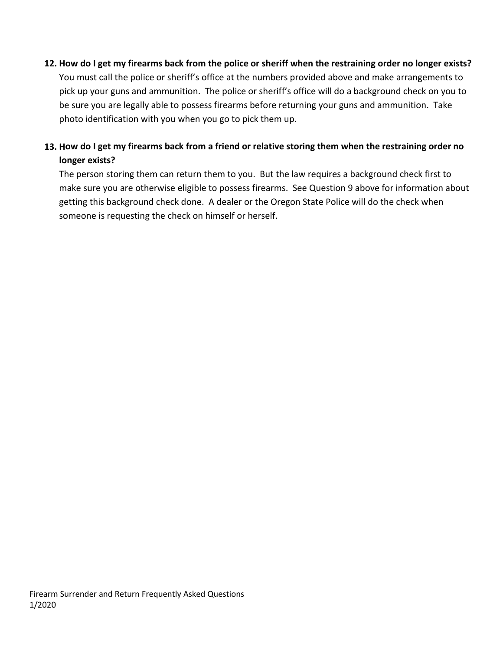#### **12. How do I get my firearms back from the police or sheriff when the restraining order no longer exists?**

You must call the police or sheriff's office at the numbers provided above and make arrangements to pick up your guns and ammunition. The police or sheriff's office will do a background check on you to be sure you are legally able to possess firearms before returning your guns and ammunition. Take photo identification with you when you go to pick them up.

# **13. How do I get my firearms back from a friend or relative storing them when the restraining order no longer exists?**

The person storing them can return them to you. But the law requires a background check first to make sure you are otherwise eligible to possess firearms. See Question 9 above for information about getting this background check done. A dealer or the Oregon State Police will do the check when someone is requesting the check on himself or herself.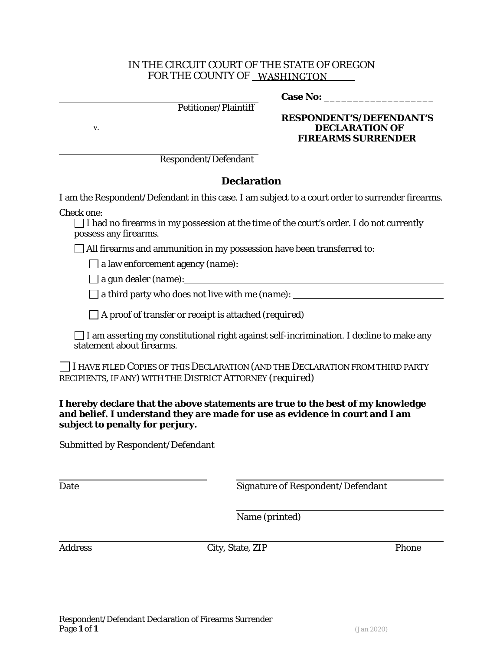#### IN THE CIRCUIT COURT OF THE STATE OF OREGON FOR THE COUNTY OF WASHINGTON

Petitioner/Plaintiff

**Case No:** \_\_\_\_\_\_\_\_\_\_\_\_\_\_\_\_\_\_\_

**RESPONDENT'S/DEFENDANT'S** v. **DECLARATION OF FIREARMS SURRENDER**

Respondent/Defendant

## **Declaration**

I am the Respondent/Defendant in this case. I am subject to a court order to surrender firearms.

*Check one:*

 $\Box$  I had no firearms in my possession at the time of the court's order. I do not currently possess any firearms.

 $\Box$  All firearms and ammunition in my possession have been transferred to:

a law enforcement agency *(name)*:

a gun dealer *(name)*:

a third party who does not live with me *(name)*:

A proof of transfer or receipt is attached *(required)*

 $\Box$  I am asserting my constitutional right against self-incrimination. I decline to make any statement about firearms.

I HAVE FILED COPIES OF THIS *DECLARATION* (AND THE *DECLARATION* FROM THIRD PARTY RECIPIENTS, IF ANY) WITH THE DISTRICT ATTORNEY *(required)*

**I hereby declare that the above statements are true to the best of my knowledge and belief. I understand they are made for use as evidence in court and I am subject to penalty for perjury.**

Submitted by Respondent/Defendant

Date Signature of Respondent/Defendant

Name (printed)

Address City, State, ZIP Phone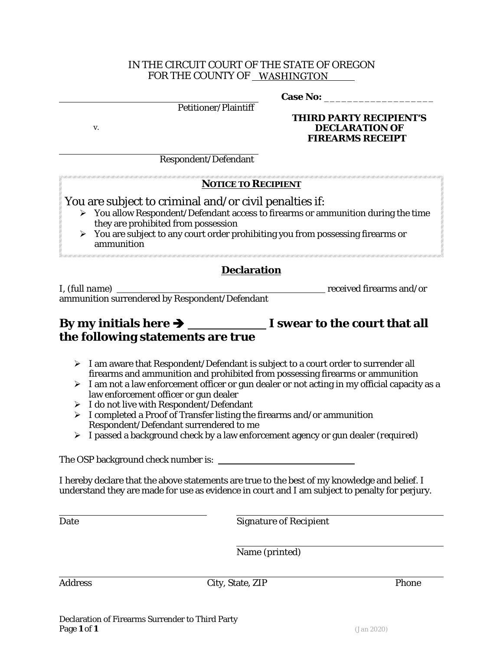#### IN THE CIRCUIT COURT OF THE STATE OF OREGON FOR THE COUNTY OF WASHINGTON

Case No:

Petitioner/Plaintiff

**THIRD PARTY RECIPIENT'S** v. **DECLARATION OF FIREARMS RECEIPT**

Respondent/Defendant

## **NOTICE TO RECIPIENT**

You are subject to criminal and/or civil penalties if:

- $\triangleright$  You allow Respondent/Defendant access to firearms or ammunition during the time they are prohibited from possession
- $\triangleright$  You are subject to any court order prohibiting you from possessing firearms or ammunition

# **Declaration**

I, *(full name)* <u>received firearms and/or</u> ammunition surrendered by Respondent/Defendant

# **By my initials here I swear to the court that all the following statements are true**

- $\triangleright$  I am aware that Respondent/Defendant is subject to a court order to surrender all firearms and ammunition and prohibited from possessing firearms or ammunition
- $\triangleright$  I am not a law enforcement officer or gun dealer or not acting in my official capacity as a law enforcement officer or gun dealer
- $\triangleright$  I do not live with Respondent/Defendant
- $\triangleright$  I completed a Proof of Transfer listing the firearms and/or ammunition Respondent/Defendant surrendered to me
- I passed a background check by a law enforcement agency or gun dealer *(required)*

The OSP background check number is: \_\_\_\_\_\_\_\_\_

I hereby declare that the above statements are true to the best of my knowledge and belief. I understand they are made for use as evidence in court and I am subject to penalty for perjury.

Date Signature of Recipient

Name (printed)

Address City, State, ZIP Phone